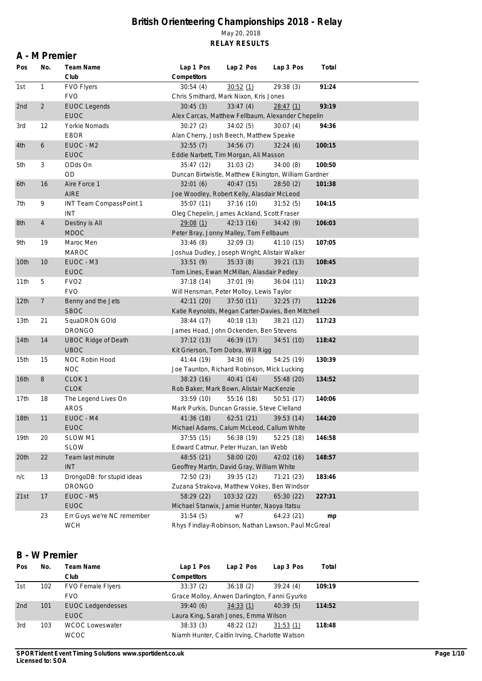#### **A - M Premier**

| Pos              | No.            | Team Name                  | Lap 1 Pos                                             | Lap 2 Pos   | Lap 3 Pos  | Total  |  |
|------------------|----------------|----------------------------|-------------------------------------------------------|-------------|------------|--------|--|
|                  |                | Club                       | Competitors                                           |             |            |        |  |
| 1st              | 1              | FVO Flyers                 | 30:54(4)                                              | 30:52(1)    | 29:38 (3)  | 91:24  |  |
|                  |                | <b>FVO</b>                 | Chris Smithard, Mark Nixon, Kris Jones                |             |            |        |  |
| 2nd              | $\overline{2}$ | <b>EUOC Legends</b>        | 30:45(3)                                              | 33:47(4)    | 28:47(1)   | 93:19  |  |
|                  |                | <b>EUOC</b>                | Alex Carcas, Matthew Fellbaum, Alexander Chepelin     |             |            |        |  |
| 3rd              | 12             | Yorkie Nomads              | 30:27 (2)                                             | 34:02(5)    | 30:07(4)   | 94:36  |  |
|                  |                | <b>EBOR</b>                | Alan Cherry, Josh Beech, Matthew Speake               |             |            |        |  |
| 4th              | 6              | EUOC - M2                  | 32:55(7)                                              | 34:56(7)    | 32:24(6)   | 100:15 |  |
|                  |                | <b>EUOC</b>                | Eddie Narbett, Tim Morgan, Ali Masson                 |             |            |        |  |
| 5th              | 3              | ODds On                    | 35:47 (12)                                            | 31:03(2)    | 34:00(8)   | 100:50 |  |
|                  |                | <b>OD</b>                  | Duncan Birtwistle, Matthew Elkington, William Gardner |             |            |        |  |
| 6th              | 16             | Aire Force 1               | 32:01(6)                                              | 40:47 (15)  | 28:50(2)   | 101:38 |  |
|                  |                | <b>AIRE</b>                | Joe Woodley, Robert Kelly, Alasdair McLeod            |             |            |        |  |
| 7th              | 9              | INT Team CompassPoint 1    | 35:07(11)                                             | 37:16(10)   | 31:52(5)   | 104:15 |  |
|                  |                | INT                        | Oleg Chepelin, James Ackland, Scott Fraser            |             |            |        |  |
| 8th              | $\overline{4}$ | Destiny is All             | 29:08(1)                                              | 42:13(16)   | 34:42(9)   | 106:03 |  |
|                  |                | <b>MDOC</b>                | Peter Bray, Jonny Malley, Tom Fellbaum                |             |            |        |  |
| 9th              | 19             | Maroc Men                  | 33:46(8)                                              | 32:09(3)    | 41:10(15)  | 107:05 |  |
|                  |                | <b>MAROC</b>               | Joshua Dudley, Joseph Wright, Alistair Walker         |             |            |        |  |
| 10th             | 10             | EUOC - M3                  | 33:51(9)                                              | 35:33(8)    | 39:21(13)  | 108:45 |  |
|                  |                | <b>EUOC</b>                | Tom Lines, Ewan McMillan, Alasdair Pedley             |             |            |        |  |
| 11th             | 5              | FVO <sub>2</sub>           |                                                       | 37:01(9)    |            | 110:23 |  |
|                  |                | <b>FVO</b>                 | 37:18(14)                                             |             | 36:04(11)  |        |  |
|                  |                |                            | Will Hensman, Peter Molloy, Lewis Taylor              |             |            |        |  |
| 12th             | 7              | Benny and the Jets         | 42:11 (20)                                            | 37:50(11)   | 32:25(7)   | 112:26 |  |
|                  |                | <b>SBOC</b>                | Katie Reynolds, Megan Carter-Davies, Ben Mitchell     |             |            |        |  |
| 13 <sub>th</sub> | 21             | SquaDRON GOld              | 38:44 (17)                                            | 40:18 (13)  | 38:21 (12) | 117:23 |  |
|                  |                | <b>DRONGO</b>              | James Hoad, John Ockenden, Ben Stevens                |             |            |        |  |
| 14th             | 14             | <b>UBOC Ridge of Death</b> | 37:12(13)                                             | 46:39 (17)  | 34:51(10)  | 118:42 |  |
|                  |                | <b>UBOC</b>                | Kit Grierson, Tom Dobra, WIII Rigg                    |             |            |        |  |
| 15th             | 15             | NOC Robin Hood             | 41:44 (19)                                            | 34:30(6)    | 54:25 (19) | 130:39 |  |
|                  |                | <b>NOC</b>                 | Joe Taunton, Richard Robinson, Mick Lucking           |             |            |        |  |
| 16th             | 8              | CLOK <sub>1</sub>          | 38:23(16)                                             | 40:41(14)   | 55:48 (20) | 134:52 |  |
|                  |                | <b>CLOK</b>                | Rob Baker, Mark Bown, Alistair MacKenzie              |             |            |        |  |
| 17th             | 18             | The Legend Lives On        | 33:59 (10)                                            | 55:16 (18)  | 50:51 (17) | 140:06 |  |
|                  |                | <b>AROS</b>                | Mark Purkis, Duncan Grassie, Steve Clelland           |             |            |        |  |
| 18th             | 11             | EUOC - M4                  | 41:36 (18)                                            | 62:51(21)   | 39:53 (14) | 144:20 |  |
|                  |                | <b>EUOC</b>                | Michael Adams, Calum McLeod, Callum White             |             |            |        |  |
| 19th             | 20             | SLOW M1                    | 37:55(15)                                             | 56:38 (19)  | 52:25(18)  | 146:58 |  |
|                  |                | <b>SLOW</b>                | Edward Catmur, Peter Huzan, Ian Webb                  |             |            |        |  |
| 20th             | 22             | Team last minute           | 48:55 (21)                                            | 58:00 (20)  | 42:02(16)  | 148:57 |  |
|                  |                | <b>INT</b>                 | Geoffrey Martin, David Gray, William White            |             |            |        |  |
| n/c              | 13             | DrongoDB: for stupid ideas | 72:50 (23)                                            | 39:35 (12)  | 71:21 (23) | 183:46 |  |
|                  |                | <b>DRONGO</b>              | Zuzana Strakova, Matthew Vokes, Ben Windsor           |             |            |        |  |
| 21st             | 17             | EUOC - M5                  | 58:29 (22)                                            | 103:32 (22) | 65:30 (22) | 227:31 |  |
|                  |                | <b>EUOC</b>                | Michael Stanwix, Jamie Hunter, Naoya Itatsu           |             |            |        |  |
|                  | 23             | Err Guys we're NC remember | 31:54(5)                                              | w7          | 64:23 (21) | mp     |  |
|                  |                | <b>WCH</b>                 | Rhys Findlay-Robinson, Nathan Lawson, Paul McGreal    |             |            |        |  |
|                  |                |                            |                                                       |             |            |        |  |

### **B - W Premier**

| Pos | No. | Team Name                | Lap 1 Pos                                      | Lap 2 Pos  | Lap 3 Pos | Total  |  |  |  |
|-----|-----|--------------------------|------------------------------------------------|------------|-----------|--------|--|--|--|
|     |     | Club                     | Competitors                                    |            |           |        |  |  |  |
| 1st | 102 | <b>FVO Female Flyers</b> | 33:37(2)                                       | 36:18(2)   | 39:24(4)  | 109:19 |  |  |  |
|     |     | <b>FVO</b>               | Grace Molloy, Anwen Darlington, Fanni Gyurko   |            |           |        |  |  |  |
| 2nd | 101 | <b>EUOC Ledgendesses</b> | 39:40(6)                                       | 34:33(1)   | 40:39(5)  | 114:52 |  |  |  |
|     |     | <b>EUOC</b>              | Laura King, Sarah Jones, Emma Wilson           |            |           |        |  |  |  |
| 3rd | 103 | <b>WCOC Loweswater</b>   | 38:33(3)                                       | 48:22 (12) | 31:53(1)  | 118:48 |  |  |  |
|     |     | <b>WCOC</b>              | Niamh Hunter, Caitlin Irving, Charlotte Watson |            |           |        |  |  |  |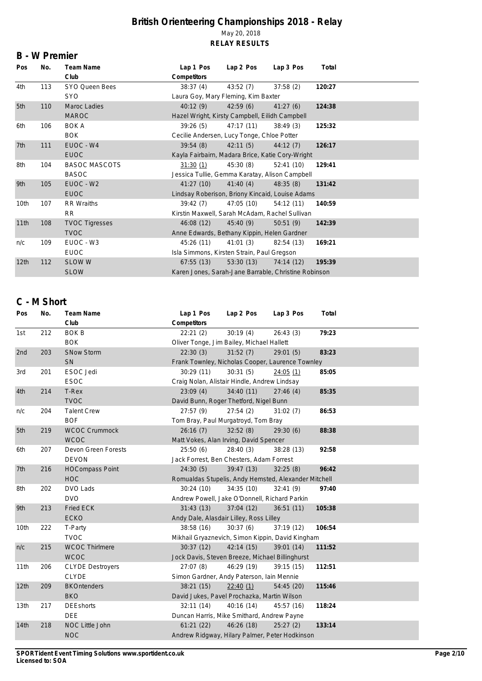#### **B - W Premier**

| Pos              | No. | Team Name             | Lap 1 Pos                                            | Lap 2 Pos                           | Lap 3 Pos  | Total  |  |  |  |  |
|------------------|-----|-----------------------|------------------------------------------------------|-------------------------------------|------------|--------|--|--|--|--|
|                  |     | Club                  | Competitors                                          |                                     |            |        |  |  |  |  |
| 4th              | 113 | SYO Queen Bees        | 38:37(4)                                             | 43:52(7)                            | 37:58(2)   | 120:27 |  |  |  |  |
|                  |     | <b>SYO</b>            |                                                      | Laura Goy, Mary Fleming, Kim Baxter |            |        |  |  |  |  |
| 5th              | 110 | Maroc Ladies          | 40:12(9)                                             | 42:59(6)                            | 41:27(6)   | 124:38 |  |  |  |  |
|                  |     | <b>MAROC</b>          | Hazel Wright, Kirsty Campbell, Eilidh Campbell       |                                     |            |        |  |  |  |  |
| 6th              | 106 | <b>BOK A</b>          | 39:26(5)                                             | 47:17 (11)                          | 38:49(3)   | 125:32 |  |  |  |  |
|                  |     | <b>BOK</b>            | Cecilie Andersen, Lucy Tonge, Chloe Potter           |                                     |            |        |  |  |  |  |
| 7th              | 111 | EUOC - W4             | 39:54(8)                                             | 42:11(5)                            | 44:12(7)   | 126:17 |  |  |  |  |
|                  |     | <b>EUOC</b>           | Kayla Fairbairn, Madara Brice, Katie Cory-Wright     |                                     |            |        |  |  |  |  |
| 8th              | 104 | <b>BASOC MASCOTS</b>  | 31:30(1)                                             | 45:30 (8)                           | 52:41(10)  | 129:41 |  |  |  |  |
|                  |     | <b>BASOC</b>          | Jessica Tullie, Gemma Karatay, Alison Campbell       |                                     |            |        |  |  |  |  |
| 9th              | 105 | EUOC - W2             | 41:27(10)                                            | 41:40(4)                            | 48:35(8)   | 131:42 |  |  |  |  |
|                  |     | <b>EUOC</b>           | Lindsay Roberison, Briony Kincaid, Louise Adams      |                                     |            |        |  |  |  |  |
| 10th             | 107 | RR Wraiths            | 39:42(7)                                             | 47:05 (10)                          | 54:12(11)  | 140:59 |  |  |  |  |
|                  |     | RR.                   | Kirstin Maxwell, Sarah McAdam, Rachel Sullivan       |                                     |            |        |  |  |  |  |
| 11th             | 108 | <b>TVOC Tigresses</b> | 46:08(12)                                            | 45:40(9)                            | 50:51(9)   | 142:39 |  |  |  |  |
|                  |     | <b>TVOC</b>           | Anne Edwards, Bethany Kippin, Helen Gardner          |                                     |            |        |  |  |  |  |
| n/c              | 109 | EUOC - W3             | 45:26 (11)                                           | 41:01(3)                            | 82:54 (13) | 169:21 |  |  |  |  |
|                  |     | <b>EUOC</b>           | Isla Simmons, Kirsten Strain, Paul Gregson           |                                     |            |        |  |  |  |  |
| 12 <sub>th</sub> | 112 | <b>SLOW W</b>         | 67:55(13)                                            | 53:30(13)                           | 74:14 (12) | 195:39 |  |  |  |  |
|                  |     | <b>SLOW</b>           | Karen Jones, Sarah-Jane Barrable, Christine Robinson |                                     |            |        |  |  |  |  |

## **C - M Short**

| Pos              | No. | Team Name               | Lap 1 Pos                                            | Lap 2 Pos  | Lap 3 Pos  | Total  |  |  |  |
|------------------|-----|-------------------------|------------------------------------------------------|------------|------------|--------|--|--|--|
|                  |     | Club                    | Competitors                                          |            |            |        |  |  |  |
| 1st              | 212 | <b>BOK B</b>            | 22:21(2)                                             | 30:19(4)   | 26:43(3)   | 79:23  |  |  |  |
|                  |     | <b>BOK</b>              | Oliver Tonge, Jim Bailey, Michael Hallett            |            |            |        |  |  |  |
| 2nd              | 203 | <b>SNow Storm</b>       | 22:30(3)                                             | 31:52(7)   | 29:01(5)   | 83:23  |  |  |  |
|                  |     | SN                      | Frank Townley, Nicholas Cooper, Laurence Townley     |            |            |        |  |  |  |
| 3rd              | 201 | <b>ESOC Jedi</b>        | 30:29(11)                                            | 30:31(5)   | 24:05(1)   | 85:05  |  |  |  |
|                  |     | <b>ESOC</b>             | Craig Nolan, Alistair Hindle, Andrew Lindsay         |            |            |        |  |  |  |
| 4th              | 214 | T-Rex                   | 23:09(4)                                             | 34:40(11)  | 27:46(4)   | 85:35  |  |  |  |
|                  |     | <b>TVOC</b>             | David Bunn, Roger Thetford, Nigel Bunn               |            |            |        |  |  |  |
| n/c              | 204 | <b>Talent Crew</b>      | 27:57(9)                                             | 27:54(2)   | 31:02(7)   | 86:53  |  |  |  |
|                  |     | <b>BOF</b>              | Tom Bray, Paul Murgatroyd, Tom Bray                  |            |            |        |  |  |  |
| 5th              | 219 | <b>WCOC Crummock</b>    | 26:16(7)                                             | 32:52(8)   | 29:30(6)   | 88:38  |  |  |  |
|                  |     | <b>WCOC</b>             | Matt Vokes, Alan Irving, David Spencer               |            |            |        |  |  |  |
| 6th              | 207 | Devon Green Forests     | 25:50(6)                                             | 28:40 (3)  | 38:28 (13) | 92:58  |  |  |  |
|                  |     | <b>DEVON</b>            | Jack Forrest, Ben Chesters, Adam Forrest             |            |            |        |  |  |  |
| 7th              | 216 | <b>HOCompass Point</b>  | 24:30(5)                                             | 39:47(13)  | 32:25(8)   | 96:42  |  |  |  |
|                  |     | <b>HOC</b>              | Romualdas Stupelis, Andy Hemsted, Alexander Mitchell |            |            |        |  |  |  |
| 8th              | 202 | DVO Lads                | 30:24(10)                                            | 34:35(10)  | 32:41(9)   | 97:40  |  |  |  |
|                  |     | <b>DVO</b>              | Andrew Powell, Jake O'Donnell, Richard Parkin        |            |            |        |  |  |  |
| 9th              | 213 | <b>Fried ECK</b>        | 31:43(13)                                            | 37:04(12)  | 36:51(11)  | 105:38 |  |  |  |
|                  |     | <b>ECKO</b>             | Andy Dale, Alasdair Lilley, Ross Lilley              |            |            |        |  |  |  |
| 10th             | 222 | T-Party                 | 38:58(16)                                            | 30:37(6)   | 37:19 (12) | 106:54 |  |  |  |
|                  |     | <b>TVOC</b>             | Mikhail Gryaznevich, Simon Kippin, David Kingham     |            |            |        |  |  |  |
| n/c              | 215 | <b>WCOC Thirlmere</b>   | 30:37(12)                                            | 42:14(15)  | 39:01 (14) | 111:52 |  |  |  |
|                  |     | <b>WCOC</b>             | Jock Davis, Steven Breeze, Michael Billinghurst      |            |            |        |  |  |  |
| 11th             | 206 | <b>CLYDE Destroyers</b> | 27:07(8)                                             | 46:29 (19) | 39:15(15)  | 112:51 |  |  |  |
|                  |     | <b>CLYDE</b>            | Simon Gardner, Andy Paterson, Iain Mennie            |            |            |        |  |  |  |
| 12th             | 209 | <b>BKOntenders</b>      | 38:21(15)                                            | 22:40(1)   | 54:45 (20) | 115:46 |  |  |  |
|                  |     | <b>BKO</b>              | David Jukes, Pavel Prochazka, Martin Wilson          |            |            |        |  |  |  |
| 13 <sub>th</sub> | 217 | <b>DEEshorts</b>        | 32:11(14)                                            | 40:16(14)  | 45:57 (16) | 118:24 |  |  |  |
|                  |     | <b>DEE</b>              | Duncan Harris, Mike Smithard, Andrew Payne           |            |            |        |  |  |  |
| 14th             | 218 | NOC Little John         | 61:21(22)                                            | 46:26(18)  | 25:27(2)   | 133:14 |  |  |  |
|                  |     | <b>NOC</b>              | Andrew Ridgway, Hilary Palmer, Peter Hodkinson       |            |            |        |  |  |  |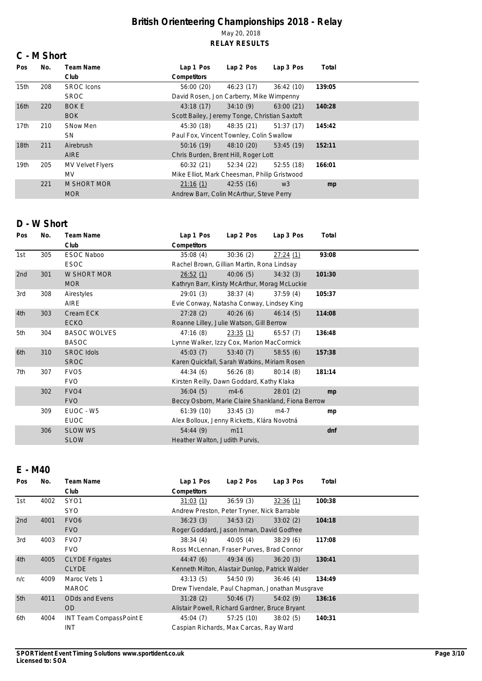### **C - M Short**

| Pos              | No. | Team Name               | Lap 1 Pos                                     | Lap 2 Pos  | Lap 3 Pos      | Total  |  |  |  |
|------------------|-----|-------------------------|-----------------------------------------------|------------|----------------|--------|--|--|--|
|                  |     | Club                    | Competitors                                   |            |                |        |  |  |  |
| 15th             | 208 | <b>SROC</b> Icons       | 56:00(20)                                     | 46:23 (17) | 36:42(10)      | 139:05 |  |  |  |
|                  |     | <b>SROC</b>             | David Rosen, Jon Carberry, Mike Wimpenny      |            |                |        |  |  |  |
| 16 <sub>th</sub> | 220 | <b>BOKE</b>             | 43:18(17)                                     | 34:10(9)   | 63:00(21)      | 140:28 |  |  |  |
|                  |     | <b>BOK</b>              | Scott Bailey, Jeremy Tonge, Christian Saxtoft |            |                |        |  |  |  |
| 17th             | 210 | SNow Men                | 45:30 (18)                                    | 48:35 (21) | 51:37(17)      | 145:42 |  |  |  |
|                  |     | SN.                     | Paul Fox, Vincent Townley, Colin Swallow      |            |                |        |  |  |  |
| 18 <sub>th</sub> | 211 | Airebrush               | 50:16(19)                                     | 48:10 (20) | 53:45(19)      | 152:11 |  |  |  |
|                  |     | <b>AIRE</b>             | Chris Burden, Brent Hill, Roger Lott          |            |                |        |  |  |  |
| 19 <sub>th</sub> | 205 | <b>MV Velvet Flyers</b> | 60:32(21)                                     | 52:34(22)  | 52:55(18)      | 166:01 |  |  |  |
|                  |     | MV.                     | Mike Elliot, Mark Cheesman, Philip Gristwood  |            |                |        |  |  |  |
|                  | 221 | <b>M SHORT MOR</b>      | 21:16(1)                                      | 42:55(16)  | W <sub>3</sub> | mp     |  |  |  |
|                  |     | <b>MOR</b>              | Andrew Barr, Colin McArthur, Steve Perry      |            |                |        |  |  |  |

## **D - W Short**

| Pos | No. | Team Name           | Lap 1 Pos                                          | Lap 2 Pos                                 | Lap 3 Pos | Total  |  |  |  |  |
|-----|-----|---------------------|----------------------------------------------------|-------------------------------------------|-----------|--------|--|--|--|--|
|     |     | Club                | Competitors                                        |                                           |           |        |  |  |  |  |
| 1st | 305 | <b>ESOC Naboo</b>   | 35:08(4)                                           | 30:36(2)                                  | 27:24(1)  | 93:08  |  |  |  |  |
|     |     | <b>ESOC</b>         | Rachel Brown, Gillian Martin, Rona Lindsay         |                                           |           |        |  |  |  |  |
| 2nd | 301 | W SHORT MOR         | 26:52(1)                                           | 40:06(5)                                  | 34:32(3)  | 101:30 |  |  |  |  |
|     |     | <b>MOR</b>          | Kathryn Barr, Kirsty McArthur, Morag McLuckie      |                                           |           |        |  |  |  |  |
| 3rd | 308 | Airestyles          | 29:01(3)                                           | 38:37(4)                                  | 37:59(4)  | 105:37 |  |  |  |  |
|     |     | AIRE                |                                                    | Evie Conway, Natasha Conway, Lindsey King |           |        |  |  |  |  |
| 4th | 303 | Cream ECK           | 27:28(2)                                           | 40:26(6)                                  | 46:14(5)  | 114:08 |  |  |  |  |
|     |     | <b>ECKO</b>         | Roanne Lilley, Julie Watson, Gill Berrow           |                                           |           |        |  |  |  |  |
| 5th | 304 | <b>BASOC WOLVES</b> | 47:16(8)                                           | 23:35(1)                                  | 65:57(7)  | 136:48 |  |  |  |  |
|     |     | <b>BASOC</b>        | Lynne Walker, Izzy Cox, Marion MacCormick          |                                           |           |        |  |  |  |  |
| 6th | 310 | <b>SROC Idols</b>   | 45:03(7)                                           | 53:40(7)                                  | 58:55(6)  | 157:38 |  |  |  |  |
|     |     | <b>SROC</b>         | Karen Quickfall, Sarah Watkins, Miriam Rosen       |                                           |           |        |  |  |  |  |
| 7th | 307 | FVO <sub>5</sub>    | 44:34 (6)                                          | 56:26(8)                                  | 80:14(8)  | 181:14 |  |  |  |  |
|     |     | <b>FVO</b>          | Kirsten Reilly, Dawn Goddard, Kathy Klaka          |                                           |           |        |  |  |  |  |
|     | 302 | FVO <sub>4</sub>    | 36:04(5)                                           | $m4-6$                                    | 28:01(2)  | mp     |  |  |  |  |
|     |     | <b>FVO</b>          | Beccy Osborn, Marie Claire Shankland, Fiona Berrow |                                           |           |        |  |  |  |  |
|     | 309 | EUOC - W5           | 61:39(10)                                          | 33:45(3)                                  | $m4-7$    | mp     |  |  |  |  |
|     |     | <b>EUOC</b>         | Alex Bolloux, Jenny Ricketts, Klára Novotná        |                                           |           |        |  |  |  |  |
|     | 306 | <b>SLOW WS</b>      | 54:44(9)                                           | m11                                       |           | dnf    |  |  |  |  |
|     |     | <b>SLOW</b>         | Heather Walton, Judith Purvis,                     |                                           |           |        |  |  |  |  |

# **E - M40**

| <b>Pos</b> | No.  | Team Name               | Lap 1 Pos                                       | Lap 2 Pos                                   | Lap 3 Pos | Total  |  |  |  |  |
|------------|------|-------------------------|-------------------------------------------------|---------------------------------------------|-----------|--------|--|--|--|--|
|            |      | Club                    | Competitors                                     |                                             |           |        |  |  |  |  |
| 1st        | 4002 | SY <sub>01</sub>        | 31:03(1)                                        | 36:59(3)                                    | 32:36 (1) | 100:38 |  |  |  |  |
|            |      | <b>SYO</b>              |                                                 | Andrew Preston, Peter Tryner, Nick Barrable |           |        |  |  |  |  |
| 2nd        | 4001 | FVO <sub>6</sub>        | 36:23(3)                                        | 34:53(2)                                    | 33:02(2)  | 104:18 |  |  |  |  |
|            |      | <b>FVO</b>              |                                                 | Roger Goddard, Jason Inman, David Godfree   |           |        |  |  |  |  |
| 3rd        | 4003 | FVO <sub>7</sub>        | 38:34(4)                                        | 40:05(4)                                    | 38:29(6)  | 117:08 |  |  |  |  |
|            |      | <b>FVO</b>              | Ross McLennan, Fraser Purves, Brad Connor       |                                             |           |        |  |  |  |  |
| 4th        | 4005 | <b>CLYDE Frigates</b>   | 44:47(6)                                        | 49:34(6)                                    | 36:20(3)  | 130:41 |  |  |  |  |
|            |      | <b>CLYDE</b>            | Kenneth Milton, Alastair Dunlop, Patrick Walder |                                             |           |        |  |  |  |  |
| n/c        | 4009 | Maroc Vets 1            | 43:13(5)                                        | 54:50 (9)                                   | 36:46(4)  | 134:49 |  |  |  |  |
|            |      | <b>MAROC</b>            | Drew Tivendale, Paul Chapman, Jonathan Musgrave |                                             |           |        |  |  |  |  |
| 5th        | 4011 | <b>ODds and Evens</b>   | 31:28(2)                                        | 50:46(7)                                    | 54:02(9)  | 136:16 |  |  |  |  |
|            |      | OD.                     | Alistair Powell, Richard Gardner, Bruce Bryant  |                                             |           |        |  |  |  |  |
| 6th        | 4004 | INT Team CompassPoint E | 45:04 (7)                                       | 57:25(10)                                   | 38:02(5)  | 140:31 |  |  |  |  |
|            |      | <b>INT</b>              | Caspian Richards, Max Carcas, Ray Ward          |                                             |           |        |  |  |  |  |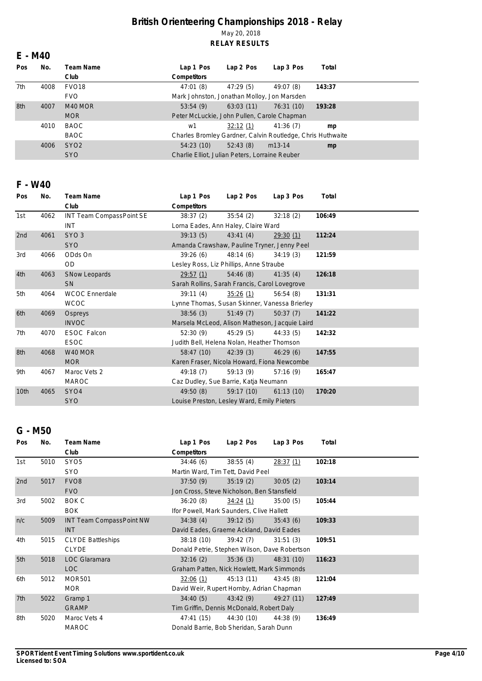## **E - M40**

| Pos | No.  | Team Name         | Lap 1 Pos                                                  | Lap 2 Pos | Lap 3 Pos  | Total  |  |  |  |
|-----|------|-------------------|------------------------------------------------------------|-----------|------------|--------|--|--|--|
|     |      | Club              | Competitors                                                |           |            |        |  |  |  |
| 7th | 4008 | FVO <sub>18</sub> | 47:01(8)                                                   | 47:29(5)  | 49:07 (8)  | 143:37 |  |  |  |
|     |      | <b>FVO</b>        | Mark Johnston, Jonathan Molloy, Jon Marsden                |           |            |        |  |  |  |
| 8th | 4007 | M40 MOR           | 53:54(9)                                                   | 63:03(11) | 76:31 (10) | 193:28 |  |  |  |
|     |      | <b>MOR</b>        | Peter McLuckie, John Pullen, Carole Chapman                |           |            |        |  |  |  |
|     | 4010 | BAOC              | w1                                                         | 32:12(1)  | 41:36(7)   | mp     |  |  |  |
|     |      | <b>BAOC</b>       | Charles Bromley Gardner, Calvin Routledge, Chris Huthwaite |           |            |        |  |  |  |
|     | 4006 | SYO <sub>2</sub>  | 54:23(10)                                                  | 52:43(8)  | $m13-14$   | mp     |  |  |  |
|     |      | <b>SYO</b>        | Charlie Elliot, Julian Peters, Lorraine Reuber             |           |            |        |  |  |  |

## **F - W40**

| Pos  | No.  | Team Name                | Lap 1 Pos   | Lap 2 Pos                                      | Lap 3 Pos                                     | Total  |  |  |  |  |
|------|------|--------------------------|-------------|------------------------------------------------|-----------------------------------------------|--------|--|--|--|--|
|      |      | Club                     | Competitors |                                                |                                               |        |  |  |  |  |
| 1st  | 4062 | INT Team CompassPoint SE | 38:37(2)    | 35:54(2)                                       | 32:18(2)                                      | 106:49 |  |  |  |  |
|      |      | INT                      |             | Lorna Eades, Ann Haley, Claire Ward            |                                               |        |  |  |  |  |
| 2nd  | 4061 | SYO <sub>3</sub>         | 39:13(5)    | 43:41(4)                                       | 29:30(1)                                      | 112:24 |  |  |  |  |
|      |      | <b>SYO</b>               |             | Amanda Crawshaw, Pauline Tryner, Jenny Peel    |                                               |        |  |  |  |  |
| 3rd  | 4066 | ODds On                  | 39:26(6)    | 48:14(6)                                       | 34:19(3)                                      | 121:59 |  |  |  |  |
|      |      | <b>OD</b>                |             | Lesley Ross, Liz Phillips, Anne Straube        |                                               |        |  |  |  |  |
| 4th  | 4063 | <b>SNow Leopards</b>     | 29:57(1)    | 54:46(8)                                       | 41:35(4)                                      | 126:18 |  |  |  |  |
|      |      | <b>SN</b>                |             | Sarah Rollins, Sarah Francis, Carol Lovegrove  |                                               |        |  |  |  |  |
| 5th  | 4064 | <b>WCOC Ennerdale</b>    | 39:11(4)    | 35:26(1)                                       | 56:54(8)                                      | 131:31 |  |  |  |  |
|      |      | <b>WCOC</b>              |             |                                                | Lynne Thomas, Susan Skinner, Vanessa Brierley |        |  |  |  |  |
| 6th  | 4069 | Ospreys                  | 38:56(3)    | 51:49(7)                                       | 50:37(7)                                      | 141:22 |  |  |  |  |
|      |      | <b>INVOC</b>             |             | Marsela McLeod, Alison Matheson, Jacquie Laird |                                               |        |  |  |  |  |
| 7th  | 4070 | ESOC Falcon              | 52:30(9)    | 45:29(5)                                       | 44:33(5)                                      | 142:32 |  |  |  |  |
|      |      | <b>ESOC</b>              |             | Judith Bell, Helena Nolan, Heather Thomson     |                                               |        |  |  |  |  |
| 8th  | 4068 | W40 MOR                  | 58:47 (10)  | 42:39(3)                                       | 46:29(6)                                      | 147:55 |  |  |  |  |
|      |      | <b>MOR</b>               |             | Karen Fraser, Nicola Howard, Fiona Newcombe    |                                               |        |  |  |  |  |
| 9th  | 4067 | Maroc Vets 2             | 49:18(7)    | 59:13 (9)                                      | 57:16(9)                                      | 165:47 |  |  |  |  |
|      |      | <b>MAROC</b>             |             | Caz Dudley, Sue Barrie, Katja Neumann          |                                               |        |  |  |  |  |
| 10th | 4065 | SY <sub>O</sub> 4        | 49:50(8)    | 59:17 (10)                                     | 61:13(10)                                     | 170:20 |  |  |  |  |
|      |      | <b>SYO</b>               |             | Louise Preston, Lesley Ward, Emily Pieters     |                                               |        |  |  |  |  |

## **G - M50**

| Pos | No.  | Team Name                       | Lap 1 Pos                                     | Lap 2 Pos  | Lap 3 Pos  | Total  |  |  |  |
|-----|------|---------------------------------|-----------------------------------------------|------------|------------|--------|--|--|--|
|     |      | Club                            | Competitors                                   |            |            |        |  |  |  |
| 1st | 5010 | SYO <sub>5</sub>                | 34:46(6)                                      | 38:55(4)   | 28:37(1)   | 102:18 |  |  |  |
|     |      | <b>SYO</b>                      | Martin Ward, Tim Tett, David Peel             |            |            |        |  |  |  |
| 2nd | 5017 | FVO <sub>8</sub>                | 37:50(9)                                      | 35:19(2)   | 30:05(2)   | 103:14 |  |  |  |
|     |      | <b>FVO</b>                      | Jon Cross, Steve Nicholson, Ben Stansfield    |            |            |        |  |  |  |
| 3rd | 5002 | BOK C                           | 36:20(8)                                      | 34:24(1)   | 35:00(5)   | 105:44 |  |  |  |
|     |      | <b>BOK</b>                      | Ifor Powell, Mark Saunders, Clive Hallett     |            |            |        |  |  |  |
| n/c | 5009 | <b>INT Team CompassPoint NW</b> | 34:38(4)                                      | 39:12(5)   | 35:43(6)   | 109:33 |  |  |  |
|     |      | <b>INT</b>                      | David Eades, Graeme Ackland, David Eades      |            |            |        |  |  |  |
| 4th | 5015 | <b>CLYDE Battleships</b>        | 38:18(10)                                     | 39:42(7)   | 31:51(3)   | 109:51 |  |  |  |
|     |      | <b>CLYDE</b>                    | Donald Petrie, Stephen Wilson, Dave Robertson |            |            |        |  |  |  |
| 5th | 5018 | LOC Glaramara                   | 32:16(2)                                      | 35:36(3)   | 48:31 (10) | 116:23 |  |  |  |
|     |      | <b>LOC</b>                      | Graham Patten, Nick Howlett, Mark Simmonds    |            |            |        |  |  |  |
| 6th | 5012 | <b>MOR501</b>                   | 32:06(1)                                      | 45:13 (11) | 43:45(8)   | 121:04 |  |  |  |
|     |      | <b>MOR</b>                      | David Weir, Rupert Hornby, Adrian Chapman     |            |            |        |  |  |  |
| 7th | 5022 | Gramp 1                         | 34:40(5)                                      | 43:42(9)   | 49:27 (11) | 127:49 |  |  |  |
|     |      | <b>GRAMP</b>                    | Tim Griffin, Dennis McDonald, Robert Daly     |            |            |        |  |  |  |
| 8th | 5020 | Maroc Vets 4                    | 47:41 (15)                                    | 44:30 (10) | 44:38 (9)  | 136:49 |  |  |  |
|     |      | <b>MAROC</b>                    | Donald Barrie, Bob Sheridan, Sarah Dunn       |            |            |        |  |  |  |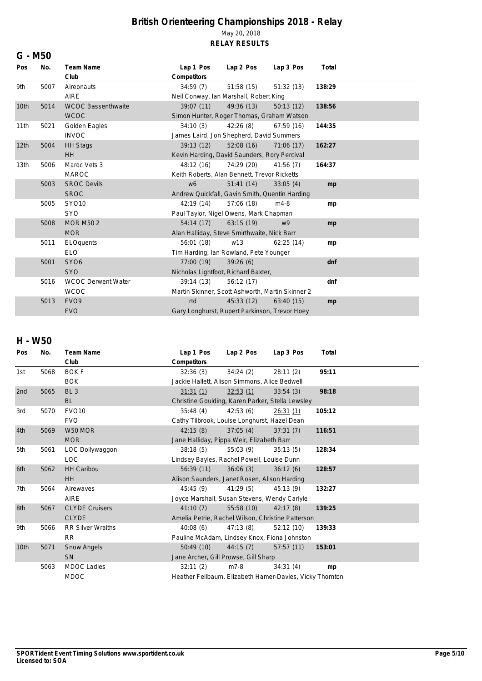| G - M50          |      |                              |                                                  |                 |            |        |  |  |  |
|------------------|------|------------------------------|--------------------------------------------------|-----------------|------------|--------|--|--|--|
| Pos              | No.  | Team Name                    | Lap 1 Pos                                        | Lap 2 Pos       | Lap 3 Pos  | Total  |  |  |  |
|                  |      | Club                         | Competitors                                      |                 |            |        |  |  |  |
| 9th              | 5007 | Aireonauts                   | 34:59(7)                                         | 51:58 (15)      | 51:32(13)  | 138:29 |  |  |  |
|                  |      | <b>AIRE</b>                  | Neil Conway, Ian Marshall, Robert King           |                 |            |        |  |  |  |
| 10th             | 5014 | <b>WCOC Bassenthwaite</b>    | 39:07(11)                                        | 49:36 (13)      | 50:13(12)  | 138:56 |  |  |  |
|                  |      | <b>WCOC</b>                  | Simon Hunter, Roger Thomas, Graham Watson        |                 |            |        |  |  |  |
| 11th             | 5021 | Golden Eagles                | 34:10(3)                                         | 42:26(8)        | 67:59 (16) | 144:35 |  |  |  |
|                  |      | <b>INVOC</b>                 | James Laird, Jon Shepherd, David Summers         |                 |            |        |  |  |  |
| 12 <sub>th</sub> | 5004 | <b>HH Stags</b>              | 39:13(12)                                        | 52:08 (16)      | 71:06 (17) | 162:27 |  |  |  |
|                  |      | <b>HH</b>                    | Kevin Harding, David Saunders, Rory Percival     |                 |            |        |  |  |  |
| 13 <sub>th</sub> | 5006 | Maroc Vets 3                 | 48:12 (16)                                       | 74:29 (20)      | 41:56(7)   | 164:37 |  |  |  |
|                  |      | <b>MAROC</b>                 | Keith Roberts, Alan Bennett, Trevor Ricketts     |                 |            |        |  |  |  |
|                  | 5003 | <b>SROC Devils</b>           | w6                                               | 51:41(14)       | 33:05(4)   | mp     |  |  |  |
|                  |      | <b>SROC</b>                  | Andrew Quickfall, Gavin Smith, Quentin Harding   |                 |            |        |  |  |  |
|                  | 5005 | SY010                        | 42:19(14)                                        | 57:06 (18)      | $m4-8$     | mp     |  |  |  |
|                  |      | <b>SYO</b>                   | Paul Taylor, Nigel Owens, Mark Chapman           |                 |            |        |  |  |  |
|                  | 5008 | <b>MOR M502</b>              | 54:14(17)                                        | 63:15(19)       | w9         | mp     |  |  |  |
|                  |      | <b>MOR</b>                   | Alan Halliday, Steve Smirthwaite, Nick Barr      |                 |            |        |  |  |  |
|                  | 5011 | ELOquents                    | 56:01(18)                                        | W <sub>13</sub> | 62:25(14)  | mp     |  |  |  |
|                  |      | <b>ELO</b>                   | Tim Harding, Ian Rowland, Pete Younger           |                 |            |        |  |  |  |
|                  | 5001 | SY <sub>O</sub> <sub>6</sub> | 77:00 (19)                                       | 39:26(6)        |            | dnf    |  |  |  |
|                  |      | <b>SYO</b>                   | Nicholas Lightfoot, Richard Baxter,              |                 |            |        |  |  |  |
|                  | 5016 | <b>WCOC Derwent Water</b>    | 39:14(13)                                        | 56:12 (17)      |            | dnf    |  |  |  |
|                  |      | <b>WCOC</b>                  | Martin Skinner, Scott Ashworth, Martin Skinner 2 |                 |            |        |  |  |  |
|                  | 5013 | FVO <sub>9</sub>             | rtd                                              | 45:33(12)       | 63:40(15)  | mp     |  |  |  |
|                  |      | <b>FVO</b>                   | Gary Longhurst, Rupert Parkinson, Trevor Hoey    |                 |            |        |  |  |  |

## **H - W50**

| Pos  | No.  | <b>Team Name</b>         | Lap 1 Pos                                                | Lap 2 Pos | Lap 3 Pos | Total  |  |  |  |
|------|------|--------------------------|----------------------------------------------------------|-----------|-----------|--------|--|--|--|
|      |      | Club                     | Competitors                                              |           |           |        |  |  |  |
| 1st  | 5068 | <b>BOKF</b>              | 32:36(3)                                                 | 34:24(2)  | 28:11(2)  | 95:11  |  |  |  |
|      |      | <b>BOK</b>               | Jackie Hallett, Alison Simmons, Alice Bedwell            |           |           |        |  |  |  |
| 2nd  | 5065 | BL <sub>3</sub>          | 31:31(1)                                                 | 32:53(1)  | 33:54(3)  | 98:18  |  |  |  |
|      |      | <b>BL</b>                | Christine Goulding, Karen Parker, Stella Lewsley         |           |           |        |  |  |  |
| 3rd  | 5070 | <b>FVO10</b>             | 35:48(4)                                                 | 42:53(6)  | 26:31(1)  | 105:12 |  |  |  |
|      |      | <b>FVO</b>               | Cathy Tilbrook, Louise Longhurst, Hazel Dean             |           |           |        |  |  |  |
| 4th  | 5069 | W50 MOR                  | 42:15(8)                                                 | 37:05(4)  | 37:31(7)  | 116:51 |  |  |  |
|      |      | <b>MOR</b>               | Jane Halliday, Pippa Weir, Elizabeth Barr                |           |           |        |  |  |  |
| 5th  | 5061 | LOC Dollywaggon          | 38:18(5)                                                 | 55:03(9)  | 35:13(5)  | 128:34 |  |  |  |
|      |      | <b>LOC</b>               | Lindsey Bayles, Rachel Powell, Louise Dunn               |           |           |        |  |  |  |
| 6th  | 5062 | <b>HH Caribou</b>        | 56:39(11)                                                | 36:06(3)  | 36:12(6)  | 128:57 |  |  |  |
|      |      | <b>HH</b>                | Alison Saunders, Janet Rosen, Alison Harding             |           |           |        |  |  |  |
| 7th  | 5064 | Airewaves                | 45:45 (9)                                                | 41:29(5)  | 45:13(9)  | 132:27 |  |  |  |
|      |      | <b>AIRE</b>              | Joyce Marshall, Susan Stevens, Wendy Carlyle             |           |           |        |  |  |  |
| 8th  | 5067 | <b>CLYDE Cruisers</b>    | 41:10(7)                                                 | 55:58(10) | 42:17(8)  | 139:25 |  |  |  |
|      |      | <b>CLYDE</b>             | Amelia Petrie, Rachel Wilson, Christine Patterson        |           |           |        |  |  |  |
| 9th  | 5066 | <b>RR Silver Wraiths</b> | 40:08(6)                                                 | 47:13(8)  | 52:12(10) | 139:33 |  |  |  |
|      |      | <b>RR</b>                | Pauline McAdam, Lindsey Knox, Fiona Johnston             |           |           |        |  |  |  |
| 10th | 5071 | Snow Angels              | 50:49(10)                                                | 44:15(7)  | 57:57(11) | 153:01 |  |  |  |
|      |      | <b>SN</b>                | Jane Archer, Gill Prowse, Gill Sharp                     |           |           |        |  |  |  |
|      | 5063 | <b>MDOC Ladies</b>       | 32:11(2)                                                 | $m7-8$    | 34:31(4)  | mp     |  |  |  |
|      |      | <b>MDOC</b>              | Heather Fellbaum, Elizabeth Hamer-Davies, Vicky Thornton |           |           |        |  |  |  |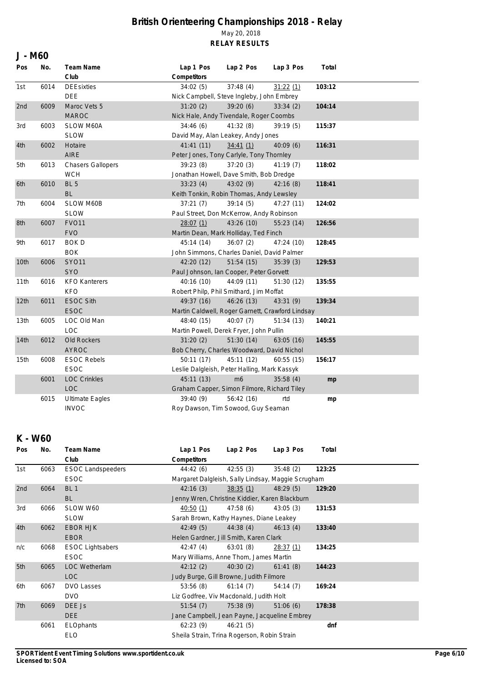| J - M60          |      |                          |                                                  |                |            |        |  |  |  |
|------------------|------|--------------------------|--------------------------------------------------|----------------|------------|--------|--|--|--|
| Pos              | No.  | Team Name                | Lap 1 Pos                                        | Lap 2 Pos      | Lap 3 Pos  | Total  |  |  |  |
|                  |      | Club                     | Competitors                                      |                |            |        |  |  |  |
| 1st              | 6014 | <b>DEEsixties</b>        | 34:02(5)                                         | 37:48(4)       | 31:22(1)   | 103:12 |  |  |  |
|                  |      | DEE                      | Nick Campbell, Steve Ingleby, John Embrey        |                |            |        |  |  |  |
| 2nd              | 6009 | Maroc Vets 5             | 31:20(2)                                         | 39:20(6)       | 33:34(2)   | 104:14 |  |  |  |
|                  |      | <b>MAROC</b>             | Nick Hale, Andy Tivendale, Roger Coombs          |                |            |        |  |  |  |
| 3rd              | 6003 | SLOW M60A                | 34:46(6)                                         | 41:32(8)       | 39:19(5)   | 115:37 |  |  |  |
|                  |      | <b>SLOW</b>              | David May, Alan Leakey, Andy Jones               |                |            |        |  |  |  |
| 4th              | 6002 | Hotaire                  | 41:41(11)                                        | 34:41(1)       | 40:09 (6)  | 116:31 |  |  |  |
|                  |      | AIRE                     | Peter Jones, Tony Carlyle, Tony Thornley         |                |            |        |  |  |  |
| 5th              | 6013 | <b>Chasers Gallopers</b> | 39:23(8)                                         | 37:20(3)       | 41:19 (7)  | 118:02 |  |  |  |
|                  |      | <b>WCH</b>               | Jonathan Howell, Dave Smith, Bob Dredge          |                |            |        |  |  |  |
| 6th              | 6010 | BL <sub>5</sub>          | 33:23(4)                                         | 43:02 (9)      | 42:16(8)   | 118:41 |  |  |  |
|                  |      | <b>BL</b>                | Keith Tonkin, Robin Thomas, Andy Lewsley         |                |            |        |  |  |  |
| 7th              | 6004 | SLOW M60B                | 37:21(7)                                         | 39:14(5)       | 47:27 (11) | 124:02 |  |  |  |
|                  |      | <b>SLOW</b>              | Paul Street, Don McKerrow, Andy Robinson         |                |            |        |  |  |  |
| 8th              | 6007 | <b>FVO11</b>             | 28:07(1)                                         | 43:26 (10)     | 55:23 (14) | 126:56 |  |  |  |
|                  |      | <b>FVO</b>               | Martin Dean, Mark Holliday, Ted Finch            |                |            |        |  |  |  |
| 9th              | 6017 | <b>BOKD</b>              | 45:14 (14)                                       | 36:07(2)       | 47:24 (10) | 128:45 |  |  |  |
|                  |      | <b>BOK</b>               | John Simmons, Charles Daniel, David Palmer       |                |            |        |  |  |  |
| 10th             | 6006 | <b>SYO11</b>             | 42:20 (12)                                       | 51:54(15)      | 35:39(3)   | 129:53 |  |  |  |
|                  |      | <b>SYO</b>               | Paul Johnson, Ian Cooper, Peter Gorvett          |                |            |        |  |  |  |
| 11th             | 6016 | <b>KFO Kanterers</b>     | 40:16 (10)                                       | 44:09 (11)     | 51:30 (12) | 135:55 |  |  |  |
|                  |      | <b>KFO</b>               | Robert Philp, Phil Smithard, Jim Moffat          |                |            |        |  |  |  |
| 12 <sub>th</sub> | 6011 | <b>ESOC Sith</b>         | 49:37 (16)                                       | 46:26(13)      | 43:31 (9)  | 139:34 |  |  |  |
|                  |      | <b>ESOC</b>              | Martin Caldwell, Roger Garnett, Crawford Lindsay |                |            |        |  |  |  |
| 13th             | 6005 | LOC Old Man              | 48:40 (15)                                       | 40:07(7)       | 51:34(13)  | 140:21 |  |  |  |
|                  |      | LOC                      | Martin Powell, Derek Fryer, John Pullin          |                |            |        |  |  |  |
| 14th             | 6012 | Old Rockers              | 31:20(2)                                         | 51:30(14)      | 63:05(16)  | 145:55 |  |  |  |
|                  |      | <b>AYROC</b>             | Bob Cherry, Charles Woodward, David Nichol       |                |            |        |  |  |  |
| 15th             | 6008 | <b>ESOC Rebels</b>       | 50:11(17)                                        | 45:11 (12)     | 60:55(15)  | 156:17 |  |  |  |
|                  |      | <b>ESOC</b>              | Leslie Dalgleish, Peter Halling, Mark Kassyk     |                |            |        |  |  |  |
|                  | 6001 | <b>LOC Crinkles</b>      | 45:11 (13)                                       | m <sub>6</sub> | 35:58(4)   | mp     |  |  |  |
|                  |      | <b>LOC</b>               | Graham Capper, Simon Filmore, Richard Tiley      |                |            |        |  |  |  |
|                  | 6015 | <b>Ultimate Eagles</b>   | 39:40(9)                                         | 56:42(16)      | rtd        | mp     |  |  |  |
|                  |      | <b>INVOC</b>             | Roy Dawson, Tim Sowood, Guy Seaman               |                |            |        |  |  |  |

### **K - W60**

| Pos | No.  | Team Name                | Lap 1 Pos                                          | Lap 2 Pos | Lap 3 Pos | Total  |  |  |  |
|-----|------|--------------------------|----------------------------------------------------|-----------|-----------|--------|--|--|--|
|     |      | Club                     | Competitors                                        |           |           |        |  |  |  |
| 1st | 6063 | <b>ESOC Landspeeders</b> | 44:42 (6)                                          | 42:55 (3) | 35:48(2)  | 123:25 |  |  |  |
|     |      | <b>ESOC</b>              | Margaret Dalgleish, Sally Lindsay, Maggie Scrugham |           |           |        |  |  |  |
| 2nd | 6064 | BL <sub>1</sub>          | 42:16(3)                                           | 38:35(1)  | 48:29(5)  | 129:20 |  |  |  |
|     |      | <b>BL</b>                | Jenny Wren, Christine Kiddier, Karen Blackburn     |           |           |        |  |  |  |
| 3rd | 6066 | SLOW W60                 | 40:50 (1)                                          | 47:58 (6) | 43:05(3)  | 131:53 |  |  |  |
|     |      | <b>SLOW</b>              | Sarah Brown, Kathy Haynes, Diane Leakey            |           |           |        |  |  |  |
| 4th | 6062 | <b>EBOR HJK</b>          | 42:49(5)                                           | 44:38(4)  | 46:13(4)  | 133:40 |  |  |  |
|     |      | <b>EBOR</b>              | Helen Gardner, Jill Smith, Karen Clark             |           |           |        |  |  |  |
| n/c | 6068 | <b>ESOC Lightsabers</b>  | 42:47(4)                                           | 63:01(8)  | 28:37(1)  | 134:25 |  |  |  |
|     |      | <b>ESOC</b>              | Mary Williams, Anne Thom, James Martin             |           |           |        |  |  |  |
| 5th | 6065 | <b>LOC Wetherlam</b>     | 42:12(2)                                           | 40:30(2)  | 61:41(8)  | 144:23 |  |  |  |
|     |      | <b>LOC</b>               | Judy Burge, Gill Browne, Judith Filmore            |           |           |        |  |  |  |
| 6th | 6067 | <b>DVO Lasses</b>        | 53:56(8)                                           | 61:14(7)  | 54:14 (7) | 169:24 |  |  |  |
|     |      | <b>DVO</b>               | Liz Godfree, Viv Macdonald, Judith Holt            |           |           |        |  |  |  |
| 7th | 6069 | DEE Js                   | 51:54(7)                                           | 75:38(9)  | 51:06(6)  | 178:38 |  |  |  |
|     |      | DEE                      | Jane Campbell, Jean Payne, Jacqueline Embrey       |           |           |        |  |  |  |
|     | 6061 | ELOphants                | 62:23(9)                                           | 46:21(5)  |           | dnf    |  |  |  |
|     |      | <b>ELO</b>               | Sheila Strain, Trina Rogerson, Robin Strain        |           |           |        |  |  |  |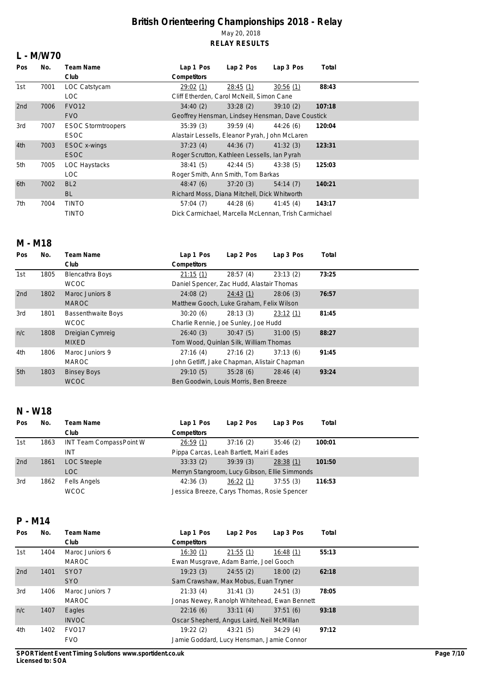#### **L - M/W70**

| <b>Pos</b> | No.  | Team Name                 | Lap 1 Pos                                            | Lap 2 Pos                                        | Lap 3 Pos | Total  |  |  |  |  |
|------------|------|---------------------------|------------------------------------------------------|--------------------------------------------------|-----------|--------|--|--|--|--|
|            |      | Club                      | Competitors                                          |                                                  |           |        |  |  |  |  |
| 1st        | 7001 | LOC Catstycam             | 29:02(1)                                             | 28:45(1)                                         | 30:56(1)  | 88:43  |  |  |  |  |
|            |      | LOC.                      |                                                      | Cliff Etherden, Carol McNeill, Simon Cane        |           |        |  |  |  |  |
| 2nd        | 7006 | <b>FVO12</b>              | 34:40(2)                                             | 33:28(2)                                         | 39:10(2)  | 107:18 |  |  |  |  |
|            |      | <b>FVO</b>                |                                                      | Geoffrey Hensman, Lindsey Hensman, Dave Coustick |           |        |  |  |  |  |
| 3rd        | 7007 | <b>ESOC Stormtroopers</b> | 35:39(3)                                             | 39:59(4)                                         | 44:26(6)  | 120:04 |  |  |  |  |
|            |      | <b>ESOC</b>               |                                                      | Alastair Lessells, Eleanor Pyrah, John McLaren   |           |        |  |  |  |  |
| 4th        | 7003 | ESOC x-wings              | 37:23(4)                                             | 44:36(7)                                         | 41:32(3)  | 123:31 |  |  |  |  |
|            |      | <b>ESOC</b>               | Roger Scrutton, Kathleen Lessells, Ian Pyrah         |                                                  |           |        |  |  |  |  |
| 5th        | 7005 | <b>LOC Haystacks</b>      | 38:41(5)                                             | 42:44(5)                                         | 43:38(5)  | 125:03 |  |  |  |  |
|            |      | LOC.                      | Roger Smith, Ann Smith, Tom Barkas                   |                                                  |           |        |  |  |  |  |
| 6th        | 7002 | BL <sub>2</sub>           | 48:47(6)                                             | 37:20(3)                                         | 54:14(7)  | 140:21 |  |  |  |  |
|            |      | <b>BL</b>                 | Richard Moss, Diana Mitchell, Dick Whitworth         |                                                  |           |        |  |  |  |  |
| 7th        | 7004 | <b>TINTO</b>              | 57:04 (7)                                            | 44:28 (6)                                        | 41:45(4)  | 143:17 |  |  |  |  |
|            |      | <b>TINTO</b>              | Dick Carmichael, Marcella McLennan, Trish Carmichael |                                                  |           |        |  |  |  |  |

### **M - M18**

| Pos | No.  | Team Name                 | Lap 1 Pos                                    | Lap 2 Pos | Lap 3 Pos | Total |
|-----|------|---------------------------|----------------------------------------------|-----------|-----------|-------|
|     |      | Club                      | Competitors                                  |           |           |       |
| 1st | 1805 | Blencathra Boys           | 21:15(1)                                     | 28:57(4)  | 23:13(2)  | 73:25 |
|     |      | <b>WCOC</b>               | Daniel Spencer, Zac Hudd, Alastair Thomas    |           |           |       |
| 2nd | 1802 | Maroc Juniors 8           | 24:08(2)                                     | 24:43(1)  | 28:06(3)  | 76:57 |
|     |      | <b>MAROC</b>              | Matthew Gooch, Luke Graham, Felix Wilson     |           |           |       |
| 3rd | 1801 | <b>Bassenthwaite Boys</b> | 30:20(6)                                     | 28:13(3)  | 23:12(1)  | 81:45 |
|     |      | <b>WCOC</b>               | Charlie Rennie, Joe Sunley, Joe Hudd         |           |           |       |
| n/c | 1808 | Dreigian Cymreig          | 26:40(3)                                     | 30:47(5)  | 31:00(5)  | 88:27 |
|     |      | <b>MIXED</b>              | Tom Wood, Quinlan Silk, William Thomas       |           |           |       |
| 4th | 1806 | Maroc Juniors 9           | 27:16(4)                                     | 27:16(2)  | 37:13(6)  | 91:45 |
|     |      | <b>MAROC</b>              | John Getliff, Jake Chapman, Alistair Chapman |           |           |       |
| 5th | 1803 | <b>Binsey Boys</b>        | 29:10(5)                                     | 35:28(6)  | 28:46(4)  | 93:24 |
|     |      | <b>WCOC</b>               | Ben Goodwin, Louis Morris, Ben Breeze        |           |           |       |

### **N - W18**

| Pos | No.  | Team Name               | Lap 1 Pos                                     | Lap 2 Pos | Lap 3 Pos | Total  |
|-----|------|-------------------------|-----------------------------------------------|-----------|-----------|--------|
|     |      | Club                    | Competitors                                   |           |           |        |
| 1st | 1863 | INT Team CompassPoint W | 26:59(1)                                      | 37:16(2)  | 35:46(2)  | 100:01 |
|     |      | INT.                    | Pippa Carcas, Leah Bartlett, Mairi Eades      |           |           |        |
| 2nd | 1861 | <b>LOC Steeple</b>      | 33:33(2)                                      | 39:39(3)  | 28:38(1)  | 101:50 |
|     |      | <b>LOC</b>              | Merryn Stangroom, Lucy Gibson, Ellie Simmonds |           |           |        |
| 3rd | 1862 | <b>Fells Angels</b>     | 42:36(3)                                      | 36:22(1)  | 37:55(3)  | 116:53 |
|     |      | <b>WCOC</b>             | Jessica Breeze, Carys Thomas, Rosie Spencer   |           |           |        |

### **P - M14**

| Pos | No.  | Team Name         | Lap 1 Pos                                    | Lap 2 Pos | Lap 3 Pos | Total |  |
|-----|------|-------------------|----------------------------------------------|-----------|-----------|-------|--|
|     |      | Club              | Competitors                                  |           |           |       |  |
| 1st | 1404 | Maroc Juniors 6   | 16:30(1)                                     | 21:55(1)  | 16:48(1)  | 55:13 |  |
|     |      | <b>MAROC</b>      | Ewan Musgrave, Adam Barrie, Joel Gooch       |           |           |       |  |
| 2nd | 1401 | SYO7              | 19:23(3)                                     | 24:55(2)  | 18:00(2)  | 62:18 |  |
|     |      | <b>SYO</b>        | Sam Crawshaw, Max Mobus, Euan Tryner         |           |           |       |  |
| 3rd | 1406 | Maroc Juniors 7   | 21:33(4)                                     | 31:41(3)  | 24:51(3)  | 78:05 |  |
|     |      | <b>MAROC</b>      | Jonas Newey, Ranolph Whitehead, Ewan Bennett |           |           |       |  |
| n/c | 1407 | Eagles            | 22:16(6)                                     | 33:11(4)  | 37:51(6)  | 93:18 |  |
|     |      | <b>INVOC</b>      | Oscar Shepherd, Angus Laird, Neil McMillan   |           |           |       |  |
| 4th | 1402 | FVO <sub>17</sub> | 19:22(2)                                     | 43:21(5)  | 34:29(4)  | 97:12 |  |
|     |      | <b>FVO</b>        | Jamie Goddard, Lucy Hensman, Jamie Connor    |           |           |       |  |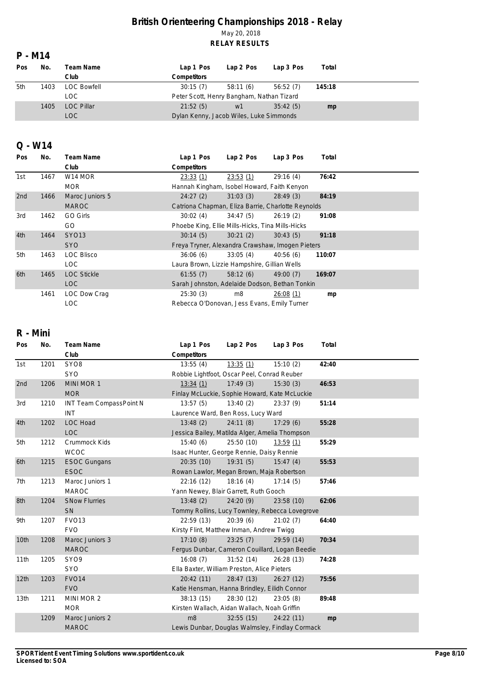### **P - M14**

| Pos | No.  | Team Name          | Lap 1 Pos                                 | Lap 2 Pos | Lap 3 Pos | Total  |  |
|-----|------|--------------------|-------------------------------------------|-----------|-----------|--------|--|
|     |      | Club               | <b>Competitors</b>                        |           |           |        |  |
| 5th | 1403 | <b>LOC Bowfell</b> | 30:15(7)                                  | 58:11(6)  | 56:52(7)  | 145:18 |  |
|     |      | LOC.               | Peter Scott, Henry Bangham, Nathan Tizard |           |           |        |  |
|     | 1405 | <b>LOC Pillar</b>  | 21:52(5)                                  | w1        | 35:42(5)  | mp     |  |
|     |      | LOC                | Dylan Kenny, Jacob Wiles, Luke Simmonds   |           |           |        |  |

#### **Q - W14**

| Pos | No.  | Team Name           | Lap 1 Pos                                          | Lap 2 Pos | Lap 3 Pos | Total  |  |  |  |
|-----|------|---------------------|----------------------------------------------------|-----------|-----------|--------|--|--|--|
|     |      | Club                | Competitors                                        |           |           |        |  |  |  |
| 1st | 1467 | W <sub>14</sub> MOR | 23:33(1)                                           | 23:53(1)  | 29:16(4)  | 76:42  |  |  |  |
|     |      | <b>MOR</b>          | Hannah Kingham, Isobel Howard, Faith Kenyon        |           |           |        |  |  |  |
| 2nd | 1466 | Maroc Juniors 5     | 24:27(2)                                           | 31:03(3)  | 28:49(3)  | 84:19  |  |  |  |
|     |      | <b>MAROC</b>        | Catriona Chapman, Eliza Barrie, Charlotte Reynolds |           |           |        |  |  |  |
| 3rd | 1462 | GO Girls            | 30:02(4)                                           | 34:47(5)  | 26:19(2)  | 91:08  |  |  |  |
|     |      | GO.                 | Phoebe King, Ellie Mills-Hicks, Tina Mills-Hicks   |           |           |        |  |  |  |
| 4th | 1464 | SY013               | 30:14(5)                                           | 30:21(2)  | 30:43(5)  | 91:18  |  |  |  |
|     |      | <b>SYO</b>          | Freya Tryner, Alexandra Crawshaw, Imogen Pieters   |           |           |        |  |  |  |
| 5th | 1463 | <b>LOC Blisco</b>   | 36:06(6)                                           | 33:05(4)  | 40:56(6)  | 110:07 |  |  |  |
|     |      | LOC.                | Laura Brown, Lizzie Hampshire, Gillian Wells       |           |           |        |  |  |  |
| 6th | 1465 | <b>LOC Stickle</b>  | 61:55(7)                                           | 58:12(6)  | 49:00(7)  | 169:07 |  |  |  |
|     |      | LOC                 | Sarah Johnston, Adelaide Dodson, Bethan Tonkin     |           |           |        |  |  |  |
|     | 1461 | LOC Dow Craq        | 25:30(3)                                           | m8        | 26:08(1)  | mp     |  |  |  |
|     |      | LOC.                | Rebecca O'Donovan, Jess Evans, Emily Turner        |           |           |        |  |  |  |

## **R - Mini**

| Pos              | No.  | Team Name               | Lap 1 Pos                                       | Lap 2 Pos  | Lap 3 Pos  | Total |  |  |
|------------------|------|-------------------------|-------------------------------------------------|------------|------------|-------|--|--|
|                  |      | Club                    | Competitors                                     |            |            |       |  |  |
| 1st              | 1201 | SYO <sub>8</sub>        | 13:55(4)                                        | 13:35(1)   | 15:10(2)   | 42:40 |  |  |
|                  |      | SYO                     | Robbie Lightfoot, Oscar Peel, Conrad Reuber     |            |            |       |  |  |
| 2nd              | 1206 | MINI MOR 1              | 13:34(1)                                        | 17:49(3)   | 15:30(3)   | 46:53 |  |  |
|                  |      | <b>MOR</b>              | Finlay McLuckie, Sophie Howard, Kate McLuckie   |            |            |       |  |  |
| 3rd              | 1210 | INT Team CompassPoint N | 13:57(5)                                        | 13:40(2)   | 23:37(9)   | 51:14 |  |  |
|                  |      | <b>INT</b>              | Laurence Ward, Ben Ross, Lucy Ward              |            |            |       |  |  |
| 4th              | 1202 | <b>LOC Hoad</b>         | 13:48(2)                                        | 24:11(8)   | 17:29(6)   | 55:28 |  |  |
|                  |      | <b>LOC</b>              | Jessica Bailey, Matilda Alger, Amelia Thompson  |            |            |       |  |  |
| 5th              | 1212 | Crummock Kids           | 15:40(6)                                        | 25:50 (10) | 13:59(1)   | 55:29 |  |  |
|                  |      | <b>WCOC</b>             | Isaac Hunter, George Rennie, Daisy Rennie       |            |            |       |  |  |
| 6th              | 1215 | <b>ESOC Gungans</b>     | 20:35(10)                                       | 19:31(5)   | 15:47(4)   | 55:53 |  |  |
|                  |      | <b>ESOC</b>             | Rowan Lawlor, Megan Brown, Maja Robertson       |            |            |       |  |  |
| 7th              | 1213 | Maroc Juniors 1         | 22:16(12)                                       | 18:16(4)   | 17:14(5)   | 57:46 |  |  |
|                  |      | <b>MAROC</b>            | Yann Newey, Blair Garrett, Ruth Gooch           |            |            |       |  |  |
| 8th              | 1204 | <b>SNow Flurries</b>    | 13:48(2)                                        | 24:20(9)   | 23:58 (10) | 62:06 |  |  |
|                  |      | SN                      | Tommy Rollins, Lucy Townley, Rebecca Lovegrove  |            |            |       |  |  |
| 9th              | 1207 | FVO <sub>13</sub>       | 22:59(13)                                       | 20:39(6)   | 21:02(7)   | 64:40 |  |  |
|                  |      | <b>FVO</b>              | Kirsty Flint, Matthew Inman, Andrew Twigg       |            |            |       |  |  |
| 10th             | 1208 | Maroc Juniors 3         | 17:10(8)                                        | 23:25(7)   | 29:59 (14) | 70:34 |  |  |
|                  |      | <b>MAROC</b>            | Fergus Dunbar, Cameron Couillard, Logan Beedie  |            |            |       |  |  |
| 11th             | 1205 | SYO <sub>9</sub>        | 16:08(7)                                        | 31:52(14)  | 26:28 (13) | 74:28 |  |  |
|                  |      | <b>SYO</b>              | Ella Baxter, William Preston, Alice Pieters     |            |            |       |  |  |
| 12th             | 1203 | <b>FVO14</b>            | 20:42(11)                                       | 28:47(13)  | 26:27(12)  | 75:56 |  |  |
|                  |      | <b>FVO</b>              | Katie Hensman, Hanna Brindley, Eilidh Connor    |            |            |       |  |  |
| 13 <sub>th</sub> | 1211 | MINI MOR 2              | 38:13(15)                                       | 28:30 (12) | 23:05(8)   | 89:48 |  |  |
|                  |      | <b>MOR</b>              | Kirsten Wallach, Aidan Wallach, Noah Griffin    |            |            |       |  |  |
|                  | 1209 | Maroc Juniors 2         | m8                                              | 32:55(15)  | 24:22 (11) | mp    |  |  |
|                  |      | <b>MAROC</b>            | Lewis Dunbar, Douglas Walmsley, Findlay Cormack |            |            |       |  |  |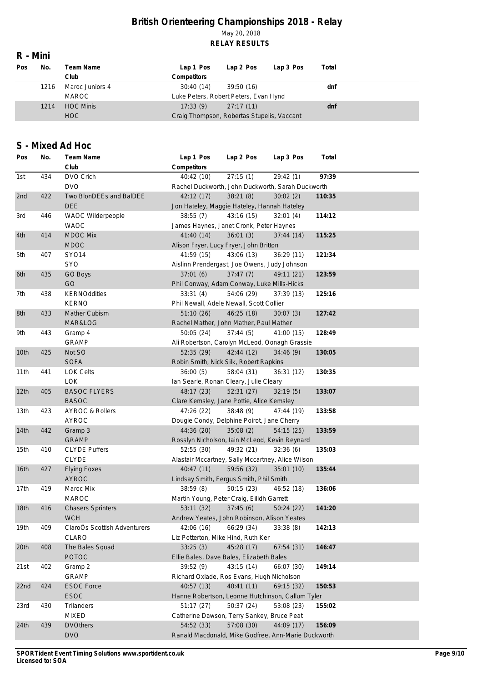### **R - Mini**

| Pos | No.  | Team Name        | Lap 1 Pos                                  | Lap 2 Pos  | Lap 3 Pos | Total |  |
|-----|------|------------------|--------------------------------------------|------------|-----------|-------|--|
|     |      | Club             | <b>Competitors</b>                         |            |           |       |  |
|     | 1216 | Maroc Juniors 4  | 30:40(14)                                  | 39:50 (16) |           | dnf   |  |
|     |      | <b>MAROC</b>     | Luke Peters, Robert Peters, Evan Hynd      |            |           |       |  |
|     | 1214 | <b>HOC Minis</b> | 17:33(9)                                   | 27:17(11)  |           | dnf   |  |
|     |      | <b>HOC</b>       | Craig Thompson, Robertas Stupelis, Vaccant |            |           |       |  |

### **S - Mixed Ad Hoc**

| Pos              | No. | Team Name                    | Lap 1 Pos                                           | Lap 2 Pos  | Lap 3 Pos  | Total  |  |
|------------------|-----|------------------------------|-----------------------------------------------------|------------|------------|--------|--|
|                  |     | Club                         | Competitors                                         |            |            |        |  |
| 1st              | 434 | DVO Crich                    | 40:42 (10)                                          | 27:15(1)   | 29:42(1)   | 97:39  |  |
|                  |     | <b>DVO</b>                   | Rachel Duckworth, John Duckworth, Sarah Duckworth   |            |            |        |  |
| 2nd              | 422 | Two BlonDEEs and BaIDEE      | 42:12 (17)                                          | 38:21(8)   | 30:02(2)   | 110:35 |  |
|                  |     | <b>DEE</b>                   | Jon Hateley, Maggie Hateley, Hannah Hateley         |            |            |        |  |
| 3rd              | 446 | WAOC Wilderpeople            | 38:55(7)                                            | 43:16 (15) | 32:01(4)   | 114:12 |  |
|                  |     | <b>WAOC</b>                  | James Haynes, Janet Cronk, Peter Haynes             |            |            |        |  |
| 4th              | 414 | <b>MDOC Mix</b>              | 41:40(14)                                           | 36:01(3)   | 37:44(14)  | 115:25 |  |
|                  |     | <b>MDOC</b>                  | Alison Fryer, Lucy Fryer, John Britton              |            |            |        |  |
| 5th              | 407 | <b>SYO14</b>                 | 41:59(15)                                           | 43:06 (13) | 36:29(11)  | 121:34 |  |
|                  |     | <b>SYO</b>                   | Aislinn Prendergast, Joe Owens, Judy Johnson        |            |            |        |  |
| 6th              | 435 | GO Boys                      | 37:01(6)                                            | 37:47(7)   | 49:11 (21) | 123:59 |  |
|                  |     | GO                           | Phil Conway, Adam Conway, Luke Mills-Hicks          |            |            |        |  |
| 7th              | 438 | <b>KERNOddities</b>          | 33:31(4)                                            | 54:06 (29) | 37:39(13)  | 125:16 |  |
|                  |     | <b>KERNO</b>                 | Phil Newall, Adele Newall, Scott Collier            |            |            |        |  |
| 8th              | 433 | Mather Cubism                | 51:10(26)                                           | 46:25(18)  | 30:07(3)   | 127:42 |  |
|                  |     | MAR&LOG                      | Rachel Mather, John Mather, Paul Mather             |            |            |        |  |
| 9th              | 443 | Gramp 4                      | 50:05(24)                                           | 37:44(5)   | 41:00 (15) | 128:49 |  |
|                  |     | <b>GRAMP</b>                 | Ali Robertson, Carolyn McLeod, Oonagh Grassie       |            |            |        |  |
| 10th             | 425 | Not SO                       | 52:35(29)                                           | 42:44(12)  | 34:46(9)   | 130:05 |  |
|                  |     | <b>SOFA</b>                  | Robin Smith, Nick Silk, Robert Rapkins              |            |            |        |  |
| 11th             | 441 | <b>LOK Celts</b>             | 36:00(5)                                            | 58:04 (31) | 36:31(12)  | 130:35 |  |
|                  |     | <b>LOK</b>                   | Ian Searle, Ronan Cleary, Julie Cleary              |            |            |        |  |
| 12 <sub>th</sub> | 405 | <b>BASOC FLYERS</b>          | 48:17 (23)                                          | 52:31(27)  | 32:19(5)   | 133:07 |  |
|                  |     | <b>BASOC</b>                 | Clare Kemsley, Jane Pottie, Alice Kemsley           |            |            |        |  |
| 13th             | 423 | <b>AYROC &amp; Rollers</b>   | 47:26 (22)                                          | 38:48(9)   | 47:44 (19) | 133:58 |  |
|                  |     | <b>AYROC</b>                 | Dougie Condy, Delphine Poirot, Jane Cherry          |            |            |        |  |
| 14th             | 442 | Gramp 3                      | 44:36 (20)                                          | 35:08(2)   | 54:15(25)  | 133:59 |  |
|                  |     | <b>GRAMP</b>                 | Rosslyn Nicholson, Iain McLeod, Kevin Reynard       |            |            |        |  |
| 15th             | 410 | <b>CLYDE Puffers</b>         | 52:55(30)                                           | 49:32 (21) | 32:36(6)   | 135:03 |  |
|                  |     | <b>CLYDE</b>                 | Alastair Mccartney, Sally Mccartney, Alice Wilson   |            |            |        |  |
| 16th             | 427 | <b>Flying Foxes</b>          | 40:47(11)                                           | 59:56 (32) | 35:01(10)  | 135:44 |  |
|                  |     | <b>AYROC</b>                 | Lindsay Smith, Fergus Smith, Phil Smith             |            |            |        |  |
| 17th             | 419 | Maroc Mix                    | 38:59(8)                                            | 50:15(23)  | 46:52 (18) | 136:06 |  |
|                  |     | <b>MAROC</b>                 | Martin Young, Peter Craig, Eilidh Garrett           |            |            |        |  |
| 18th             | 416 | <b>Chasers Sprinters</b>     | 53:11 (32)                                          | 37:45(6)   | 50:24(22)  | 141:20 |  |
|                  |     | <b>WCH</b>                   | Andrew Yeates, John Robinson, Alison Yeates         |            |            |        |  |
| 19th             | 409 | ClaroOs Scottish Adventurers | 42:06 (16)                                          | 66:29 (34) | 33:38(8)   | 142:13 |  |
|                  |     | CLARO                        | Liz Potterton, Mike Hind, Ruth Ker                  |            |            |        |  |
| 20th             | 408 | The Bales Squad              | 33:25(3)                                            | 45:28 (17) | 67:54(31)  | 146:47 |  |
|                  |     | POTOC                        | Ellie Bales, Dave Bales, Elizabeth Bales            |            |            |        |  |
| 21st             | 402 | Gramp 2                      | 39:52(9)                                            | 43:15(14)  | 66:07 (30) | 149:14 |  |
|                  |     | <b>GRAMP</b>                 | Richard Oxlade, Ros Evans, Hugh Nicholson           |            |            |        |  |
| 22nd             | 424 | <b>ESOC Force</b>            | 40:57 (13)                                          | 40:41(11)  | 69:15 (32) | 150:53 |  |
|                  |     | ESOC                         | Hanne Robertson, Leonne Hutchinson, Callum Tyler    |            |            |        |  |
| 23rd             | 430 | <b>Trilanders</b>            | 51:17(27)                                           | 50:37 (24) | 53:08 (23) | 155:02 |  |
|                  |     | <b>MIXED</b>                 | Catherine Dawson, Terry Sankey, Bruce Peat          |            |            |        |  |
| 24th             | 439 | <b>DVOthers</b>              | 54:52 (33)                                          | 57:08 (30) | 44:09 (17) | 156:09 |  |
|                  |     | <b>DVO</b>                   | Ranald Macdonald, Mike Godfree, Ann-Marie Duckworth |            |            |        |  |
|                  |     |                              |                                                     |            |            |        |  |